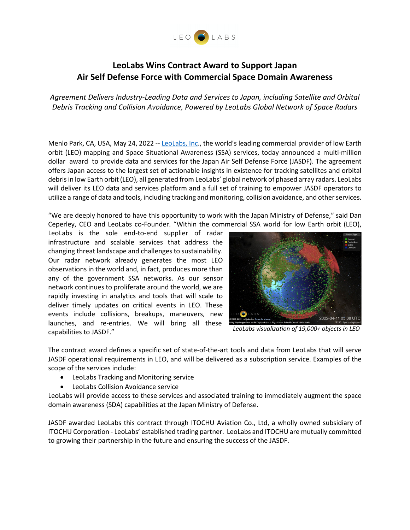

## **LeoLabs Wins Contract Award to Support Japan Air Self Defense Force with Commercial Space Domain Awareness**

*Agreement Delivers Industry-Leading Data and Services to Japan, including Satellite and Orbital Debris Tracking and Collision Avoidance, Powered by LeoLabs Global Network of Space Radars*

Menlo Park, CA, USA, May 24, 2022 -- [LeoLabs, Inc.](https://leolabs.space/), the world's leading commercial provider of low Earth orbit (LEO) mapping and Space Situational Awareness (SSA) services, today announced a multi-million dollar award to provide data and services for the Japan Air Self Defense Force (JASDF). The agreement offers Japan access to the largest set of actionable insights in existence for tracking satellites and orbital debris in low Earth orbit (LEO), all generated from LeoLabs' global network of phased array radars. LeoLabs will deliver its LEO data and services platform and a full set of training to empower JASDF operators to utilize a range of data and tools, including tracking and monitoring, collision avoidance, and other services.

"We are deeply honored to have this opportunity to work with the Japan Ministry of Defense," said Dan Ceperley, CEO and LeoLabs co-Founder. "Within the commercial SSA world for low Earth orbit (LEO),

LeoLabs is the sole end-to-end supplier of radar infrastructure and scalable services that address the changing threat landscape and challenges to sustainability. Our radar network already generates the most LEO observations in the world and, in fact, produces more than any of the government SSA networks. As our sensor network continues to proliferate around the world, we are rapidly investing in analytics and tools that will scale to deliver timely updates on critical events in LEO. These events include collisions, breakups, maneuvers, new launches, and re-entries. We will bring all these capabilities to JASDF."



*LeoLabs visualization of 19,000+ objects in LEO*

The contract award defines a specific set of state-of-the-art tools and data from LeoLabs that will serve JASDF operational requirements in LEO, and will be delivered as a subscription service. Examples of the scope of the services include:

- LeoLabs Tracking and Monitoring service
- LeoLabs Collision Avoidance service

LeoLabs will provide access to these services and associated training to immediately augment the space domain awareness (SDA) capabilities at the Japan Ministry of Defense.

JASDF awarded LeoLabs this contract through ITOCHU Aviation Co., Ltd, a wholly owned subsidiary of ITOCHU Corporation - LeoLabs' established trading partner. LeoLabs and ITOCHU are mutually committed to growing their partnership in the future and ensuring the success of the JASDF.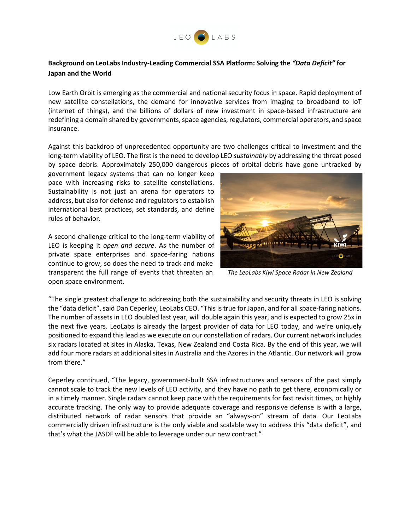

## **Background on LeoLabs Industry-Leading Commercial SSA Platform: Solving the** *"Data Deficit"* **for Japan and the World**

Low Earth Orbit is emerging as the commercial and national security focus in space. Rapid deployment of new satellite constellations, the demand for innovative services from imaging to broadband to IoT (internet of things), and the billions of dollars of new investment in space-based infrastructure are redefining a domain shared by governments, space agencies, regulators, commercial operators, and space insurance.

Against this backdrop of unprecedented opportunity are two challenges critical to investment and the long-term viability of LEO. The first is the need to develop LEO *sustainably* by addressing the threat posed by space debris. Approximately 250,000 dangerous pieces of orbital debris have gone untracked by

government legacy systems that can no longer keep pace with increasing risks to satellite constellations. Sustainability is not just an arena for operators to address, but also for defense and regulators to establish international best practices, set standards, and define rules of behavior.

A second challenge critical to the long-term viability of LEO is keeping it *open and secure*. As the number of private space enterprises and space-faring nations continue to grow, so does the need to track and make transparent the full range of events that threaten an open space environment.



*The LeoLabs Kiwi Space Radar in New Zealand*

"The single greatest challenge to addressing both the sustainability and security threats in LEO is solving the "data deficit", said Dan Ceperley, LeoLabs CEO. "This is true for Japan, and for all space-faring nations. The number of assets in LEO doubled last year, will double again this year, and is expected to grow 25x in the next five years. LeoLabs is already the largest provider of data for LEO today, and we're uniquely positioned to expand this lead as we execute on our constellation of radars. Our current network includes six radars located at sites in Alaska, Texas, New Zealand and Costa Rica. By the end of this year, we will add four more radars at additional sites in Australia and the Azores in the Atlantic. Our network will grow from there."

Ceperley continued, "The legacy, government-built SSA infrastructures and sensors of the past simply cannot scale to track the new levels of LEO activity, and they have no path to get there, economically or in a timely manner. Single radars cannot keep pace with the requirements for fast revisit times, or highly accurate tracking. The only way to provide adequate coverage and responsive defense is with a large, distributed network of radar sensors that provide an "always-on" stream of data. Our LeoLabs commercially driven infrastructure is the only viable and scalable way to address this "data deficit", and that's what the JASDF will be able to leverage under our new contract."